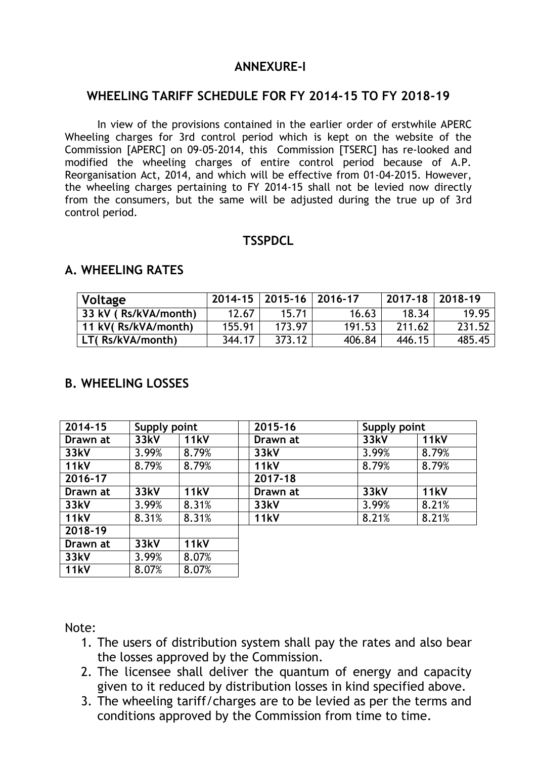# **ANNEXURE-I**

#### **WHEELING TARIFF SCHEDULE FOR FY 2014-15 TO FY 2018-19**

In view of the provisions contained in the earlier order of erstwhile APERC Wheeling charges for 3rd control period which is kept on the website of the Commission [APERC] on 09-05-2014, this Commission [TSERC] has re-looked and modified the wheeling charges of entire control period because of A.P. Reorganisation Act, 2014, and which will be effective from 01-04-2015. However, the wheeling charges pertaining to FY 2014-15 shall not be levied now directly from the consumers, but the same will be adjusted during the true up of 3rd control period.

### **TSSPDCL**

| Voltage              |        | 2014-15   2015-16   2016-17 |        | 2017-18   2018-19 |        |
|----------------------|--------|-----------------------------|--------|-------------------|--------|
| 33 kV (Rs/kVA/month) | 12.67  | 15.71                       | 16.63  | 18.34             | 19.95  |
| 11 kV(Rs/kVA/month)  | 155.91 | 173.97                      | 191.53 | 211.62            | 231.52 |
| LT(Rs/kVA/month)     | 344.17 | 373.12                      | 406.84 | 446.15            | 485.45 |

#### **A. WHEELING RATES**

# **B. WHEELING LOSSES**

| 2014-15     | Supply point |             | 2015-16     | Supply point |             |
|-------------|--------------|-------------|-------------|--------------|-------------|
| Drawn at    | 33kV         | <b>11kV</b> | Drawn at    | 33kV         | <b>11kV</b> |
| 33kV        | 3.99%        | 8.79%       | 33kV        | 3.99%        | 8.79%       |
| <b>11kV</b> | 8.79%        | 8.79%       | <b>11kV</b> | 8.79%        | 8.79%       |
| 2016-17     |              |             | 2017-18     |              |             |
| Drawn at    | 33kV         | <b>11kV</b> | Drawn at    | 33kV         | <b>11kV</b> |
| 33kV        | 3.99%        | 8.31%       | 33kV        | 3.99%        | 8.21%       |
| <b>11kV</b> | 8.31%        | 8.31%       | <b>11kV</b> | 8.21%        | 8.21%       |
| 2018-19     |              |             |             |              |             |
| Drawn at    | 33kV         | <b>11kV</b> |             |              |             |
| 33kV        | 3.99%        | 8.07%       |             |              |             |
| <b>11kV</b> | 8.07%        | 8.07%       |             |              |             |

Note:

- 1. The users of distribution system shall pay the rates and also bear the losses approved by the Commission.
- 2. The licensee shall deliver the quantum of energy and capacity given to it reduced by distribution losses in kind specified above.
- 3. The wheeling tariff/charges are to be levied as per the terms and conditions approved by the Commission from time to time.